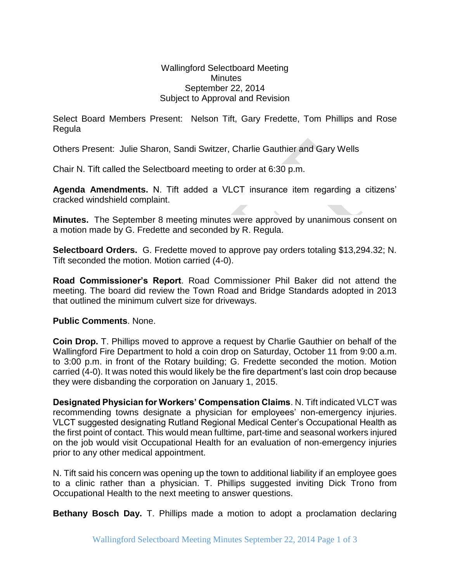## Wallingford Selectboard Meeting **Minutes** September 22, 2014 Subject to Approval and Revision

Select Board Members Present: Nelson Tift, Gary Fredette, Tom Phillips and Rose Regula

Others Present: Julie Sharon, Sandi Switzer, Charlie Gauthier and Gary Wells

Chair N. Tift called the Selectboard meeting to order at 6:30 p.m.

**Agenda Amendments.** N. Tift added a VLCT insurance item regarding a citizens' cracked windshield complaint.

**Minutes.** The September 8 meeting minutes were approved by unanimous consent on a motion made by G. Fredette and seconded by R. Regula.

**Selectboard Orders.** G. Fredette moved to approve pay orders totaling \$13,294.32; N. Tift seconded the motion. Motion carried (4-0).

**Road Commissioner's Report**. Road Commissioner Phil Baker did not attend the meeting. The board did review the Town Road and Bridge Standards adopted in 2013 that outlined the minimum culvert size for driveways.

## **Public Comments**. None.

**Coin Drop.** T. Phillips moved to approve a request by Charlie Gauthier on behalf of the Wallingford Fire Department to hold a coin drop on Saturday, October 11 from 9:00 a.m. to 3:00 p.m. in front of the Rotary building; G. Fredette seconded the motion. Motion carried (4-0). It was noted this would likely be the fire department's last coin drop because they were disbanding the corporation on January 1, 2015.

**Designated Physician for Workers' Compensation Claims**. N. Tift indicated VLCT was recommending towns designate a physician for employees' non-emergency injuries. VLCT suggested designating Rutland Regional Medical Center's Occupational Health as the first point of contact. This would mean fulltime, part-time and seasonal workers injured on the job would visit Occupational Health for an evaluation of non-emergency injuries prior to any other medical appointment.

N. Tift said his concern was opening up the town to additional liability if an employee goes to a clinic rather than a physician. T. Phillips suggested inviting Dick Trono from Occupational Health to the next meeting to answer questions.

**Bethany Bosch Day.** T. Phillips made a motion to adopt a proclamation declaring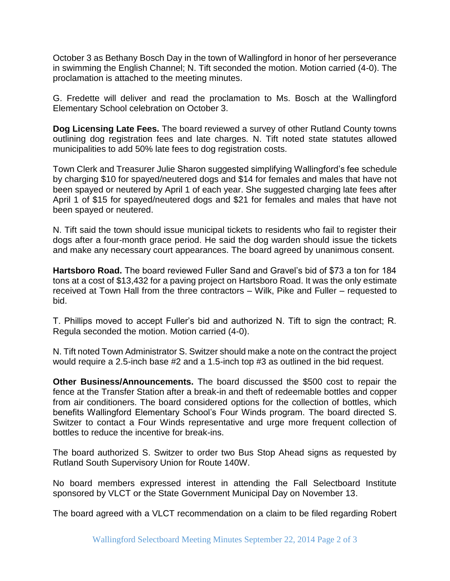October 3 as Bethany Bosch Day in the town of Wallingford in honor of her perseverance in swimming the English Channel; N. Tift seconded the motion. Motion carried (4-0). The proclamation is attached to the meeting minutes.

G. Fredette will deliver and read the proclamation to Ms. Bosch at the Wallingford Elementary School celebration on October 3.

**Dog Licensing Late Fees.** The board reviewed a survey of other Rutland County towns outlining dog registration fees and late charges. N. Tift noted state statutes allowed municipalities to add 50% late fees to dog registration costs.

Town Clerk and Treasurer Julie Sharon suggested simplifying Wallingford's fee schedule by charging \$10 for spayed/neutered dogs and \$14 for females and males that have not been spayed or neutered by April 1 of each year. She suggested charging late fees after April 1 of \$15 for spayed/neutered dogs and \$21 for females and males that have not been spayed or neutered.

N. Tift said the town should issue municipal tickets to residents who fail to register their dogs after a four-month grace period. He said the dog warden should issue the tickets and make any necessary court appearances. The board agreed by unanimous consent.

**Hartsboro Road.** The board reviewed Fuller Sand and Gravel's bid of \$73 a ton for 184 tons at a cost of \$13,432 for a paving project on Hartsboro Road. It was the only estimate received at Town Hall from the three contractors – Wilk, Pike and Fuller – requested to bid.

T. Phillips moved to accept Fuller's bid and authorized N. Tift to sign the contract; R. Regula seconded the motion. Motion carried (4-0).

N. Tift noted Town Administrator S. Switzer should make a note on the contract the project would require a 2.5-inch base #2 and a 1.5-inch top #3 as outlined in the bid request.

**Other Business/Announcements.** The board discussed the \$500 cost to repair the fence at the Transfer Station after a break-in and theft of redeemable bottles and copper from air conditioners. The board considered options for the collection of bottles, which benefits Wallingford Elementary School's Four Winds program. The board directed S. Switzer to contact a Four Winds representative and urge more frequent collection of bottles to reduce the incentive for break-ins.

The board authorized S. Switzer to order two Bus Stop Ahead signs as requested by Rutland South Supervisory Union for Route 140W.

No board members expressed interest in attending the Fall Selectboard Institute sponsored by VLCT or the State Government Municipal Day on November 13.

The board agreed with a VLCT recommendation on a claim to be filed regarding Robert